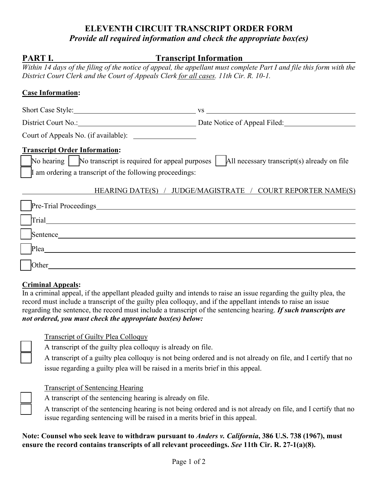# **ELEVENTH CIRCUIT TRANSCRIPT ORDER FORM** *Provide all required information and check the appropriate box(es)*

| PART I.                                                                                                                                                                                                                       | <b>Transcript Information</b>                                                                                        |  |  |  |  |
|-------------------------------------------------------------------------------------------------------------------------------------------------------------------------------------------------------------------------------|----------------------------------------------------------------------------------------------------------------------|--|--|--|--|
|                                                                                                                                                                                                                               | Within 14 days of the filing of the notice of appeal, the appellant must complete Part I and file this form with the |  |  |  |  |
| District Court Clerk and the Court of Appeals Clerk for all cases. 11th Cir. R. 10-1.                                                                                                                                         |                                                                                                                      |  |  |  |  |
| <b>Case Information:</b>                                                                                                                                                                                                      |                                                                                                                      |  |  |  |  |
|                                                                                                                                                                                                                               |                                                                                                                      |  |  |  |  |
|                                                                                                                                                                                                                               | District Court No.: District Court No.: Date Notice of Appeal Filed:                                                 |  |  |  |  |
|                                                                                                                                                                                                                               |                                                                                                                      |  |  |  |  |
| <b>Transcript Order Information:</b><br>No hearing   No transcript is required for appeal purposes   All necessary transcript(s) already on file<br>If am ordering a transcript of the following proceedings:                 |                                                                                                                      |  |  |  |  |
|                                                                                                                                                                                                                               | HEARING DATE(S) / JUDGE/MAGISTRATE / COURT REPORTER NAME(S)                                                          |  |  |  |  |
|                                                                                                                                                                                                                               |                                                                                                                      |  |  |  |  |
|                                                                                                                                                                                                                               |                                                                                                                      |  |  |  |  |
|                                                                                                                                                                                                                               | Sentence                                                                                                             |  |  |  |  |
| Plea Please and the set of the set of the set of the set of the set of the set of the set of the set of the set of the set of the set of the set of the set of the set of the set of the set of the set of the set of the set |                                                                                                                      |  |  |  |  |
| Other                                                                                                                                                                                                                         |                                                                                                                      |  |  |  |  |

#### **Criminal Appeals:**

In a criminal appeal, if the appellant pleaded guilty and intends to raise an issue regarding the guilty plea, the record must include a transcript of the guilty plea colloquy, and if the appellant intends to raise an issue regarding the sentence, the record must include a transcript of the sentencing hearing. *If such transcripts are not ordered, you must check the appropriate box(es) below:*

#### Transcript of Guilty Plea Colloquy

A transcript of the guilty plea colloquy is already on file.

A transcript of a guilty plea colloquy is not being ordered and is not already on file, and I certify that no issue regarding a guilty plea will be raised in a merits brief in this appeal.

## Transcript of Sentencing Hearing

- A transcript of the sentencing hearing is already on file.
- A transcript of the sentencing hearing is not being ordered and is not already on file, and I certify that no issue regarding sentencing will be raised in a merits brief in this appeal.

### **Note: Counsel who seek leave to withdraw pursuant to** *Anders v. California***, 386 U.S. 738 (1967), must ensure the record contains transcripts of all relevant proceedings.** *See* **11th Cir. R. 27-1(a)(8).**